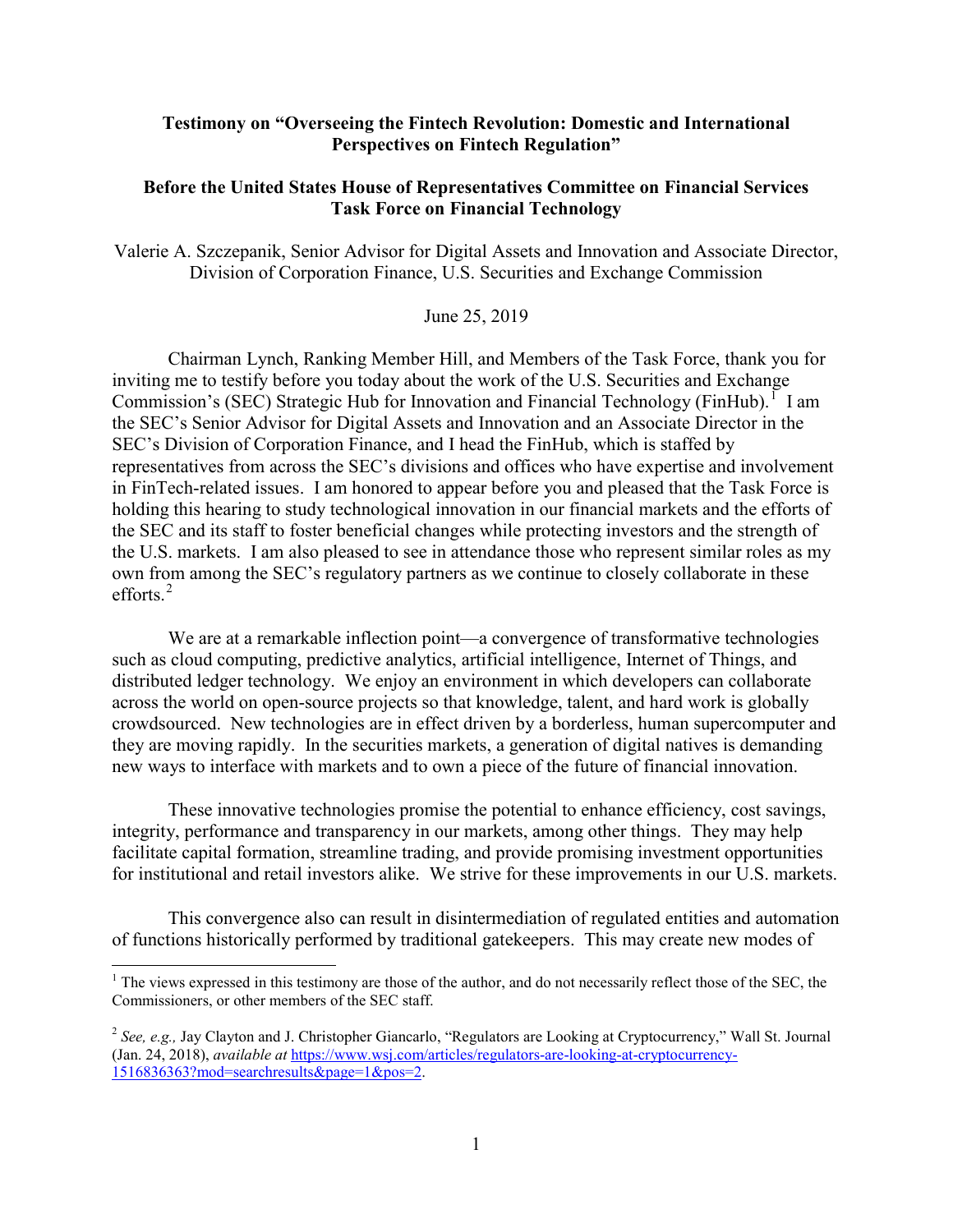### **Testimony on "Overseeing the Fintech Revolution: Domestic and International Perspectives on Fintech Regulation"**

### **Before the United States House of Representatives Committee on Financial Services Task Force on Financial Technology**

Valerie A. Szczepanik, Senior Advisor for Digital Assets and Innovation and Associate Director, Division of Corporation Finance, U.S. Securities and Exchange Commission

#### June 25, 2019

Chairman Lynch, Ranking Member Hill, and Members of the Task Force, thank you for inviting me to testify before you today about the work of the U.S. Securities and Exchange Commission's (SEC) Strategic Hub for Innovation and Financial Technology (FinHub).<sup>[1](#page-0-0)</sup> I am the SEC's Senior Advisor for Digital Assets and Innovation and an Associate Director in the SEC's Division of Corporation Finance, and I head the FinHub, which is staffed by representatives from across the SEC's divisions and offices who have expertise and involvement in FinTech-related issues. I am honored to appear before you and pleased that the Task Force is holding this hearing to study technological innovation in our financial markets and the efforts of the SEC and its staff to foster beneficial changes while protecting investors and the strength of the U.S. markets. I am also pleased to see in attendance those who represent similar roles as my own from among the SEC's regulatory partners as we continue to closely collaborate in these efforts. $2$ 

We are at a remarkable inflection point—a convergence of transformative technologies such as cloud computing, predictive analytics, artificial intelligence, Internet of Things, and distributed ledger technology. We enjoy an environment in which developers can collaborate across the world on open-source projects so that knowledge, talent, and hard work is globally crowdsourced. New technologies are in effect driven by a borderless, human supercomputer and they are moving rapidly. In the securities markets, a generation of digital natives is demanding new ways to interface with markets and to own a piece of the future of financial innovation.

These innovative technologies promise the potential to enhance efficiency, cost savings, integrity, performance and transparency in our markets, among other things. They may help facilitate capital formation, streamline trading, and provide promising investment opportunities for institutional and retail investors alike. We strive for these improvements in our U.S. markets.

This convergence also can result in disintermediation of regulated entities and automation of functions historically performed by traditional gatekeepers. This may create new modes of

<span id="page-0-0"></span><sup>&</sup>lt;sup>1</sup> The views expressed in this testimony are those of the author, and do not necessarily reflect those of the SEC, the Commissioners, or other members of the SEC staff.

<span id="page-0-1"></span><sup>&</sup>lt;sup>2</sup> See, e.g., Jay Clayton and J. Christopher Giancarlo, "Regulators are Looking at Cryptocurrency," Wall St. Journal (Jan. 24, 2018), *available at* [https://www.wsj.com/articles/regulators-are-looking-at-cryptocurrency-](https://www.wsj.com/articles/regulators-are-looking-at-cryptocurrency-1516836363?mod=searchresults&page=1&pos=2)[1516836363?mod=searchresults&page=1&pos=2.](https://www.wsj.com/articles/regulators-are-looking-at-cryptocurrency-1516836363?mod=searchresults&page=1&pos=2)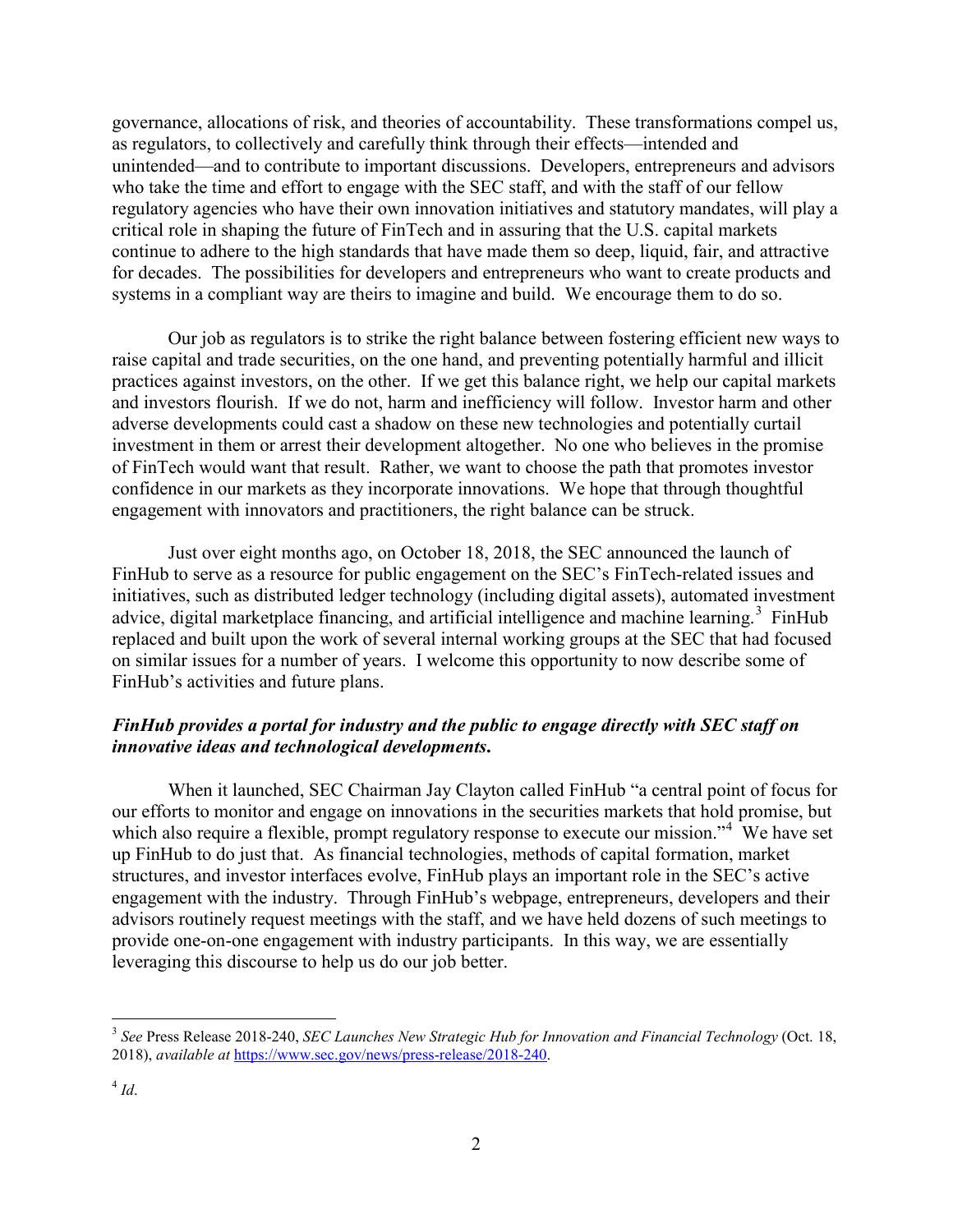governance, allocations of risk, and theories of accountability. These transformations compel us, as regulators, to collectively and carefully think through their effects—intended and unintended—and to contribute to important discussions. Developers, entrepreneurs and advisors who take the time and effort to engage with the SEC staff, and with the staff of our fellow regulatory agencies who have their own innovation initiatives and statutory mandates, will play a critical role in shaping the future of FinTech and in assuring that the U.S. capital markets continue to adhere to the high standards that have made them so deep, liquid, fair, and attractive for decades. The possibilities for developers and entrepreneurs who want to create products and systems in a compliant way are theirs to imagine and build. We encourage them to do so.

Our job as regulators is to strike the right balance between fostering efficient new ways to raise capital and trade securities, on the one hand, and preventing potentially harmful and illicit practices against investors, on the other. If we get this balance right, we help our capital markets and investors flourish. If we do not, harm and inefficiency will follow. Investor harm and other adverse developments could cast a shadow on these new technologies and potentially curtail investment in them or arrest their development altogether. No one who believes in the promise of FinTech would want that result. Rather, we want to choose the path that promotes investor confidence in our markets as they incorporate innovations. We hope that through thoughtful engagement with innovators and practitioners, the right balance can be struck.

Just over eight months ago, on October 18, 2018, the SEC announced the launch of FinHub to serve as a resource for public engagement on the SEC's FinTech-related issues and initiatives, such as distributed ledger technology (including digital assets), automated investment advice, digital marketplace financing, and artificial intelligence and machine learning.<sup>[3](#page-1-0)</sup> FinHub replaced and built upon the work of several internal working groups at the SEC that had focused on similar issues for a number of years. I welcome this opportunity to now describe some of FinHub's activities and future plans.

# *FinHub provides a portal for industry and the public to engage directly with SEC staff on innovative ideas and technological developments***.**

When it launched, SEC Chairman Jay Clayton called FinHub "a central point of focus for our efforts to monitor and engage on innovations in the securities markets that hold promise, but which also require a flexible, prompt regulatory response to execute our mission."<sup>[4](#page-1-1)</sup> We have set up FinHub to do just that. As financial technologies, methods of capital formation, market structures, and investor interfaces evolve, FinHub plays an important role in the SEC's active engagement with the industry. Through FinHub's webpage, entrepreneurs, developers and their advisors routinely request meetings with the staff, and we have held dozens of such meetings to provide one-on-one engagement with industry participants. In this way, we are essentially leveraging this discourse to help us do our job better.

<span id="page-1-1"></span><span id="page-1-0"></span><sup>3</sup> *See* Press Release 2018-240, *SEC Launches New Strategic Hub for Innovation and Financial Technology* (Oct. 18, 2018), *available at* [https://www.sec.gov/news/press-release/2018-240.](https://www.sec.gov/news/press-release/2018-240)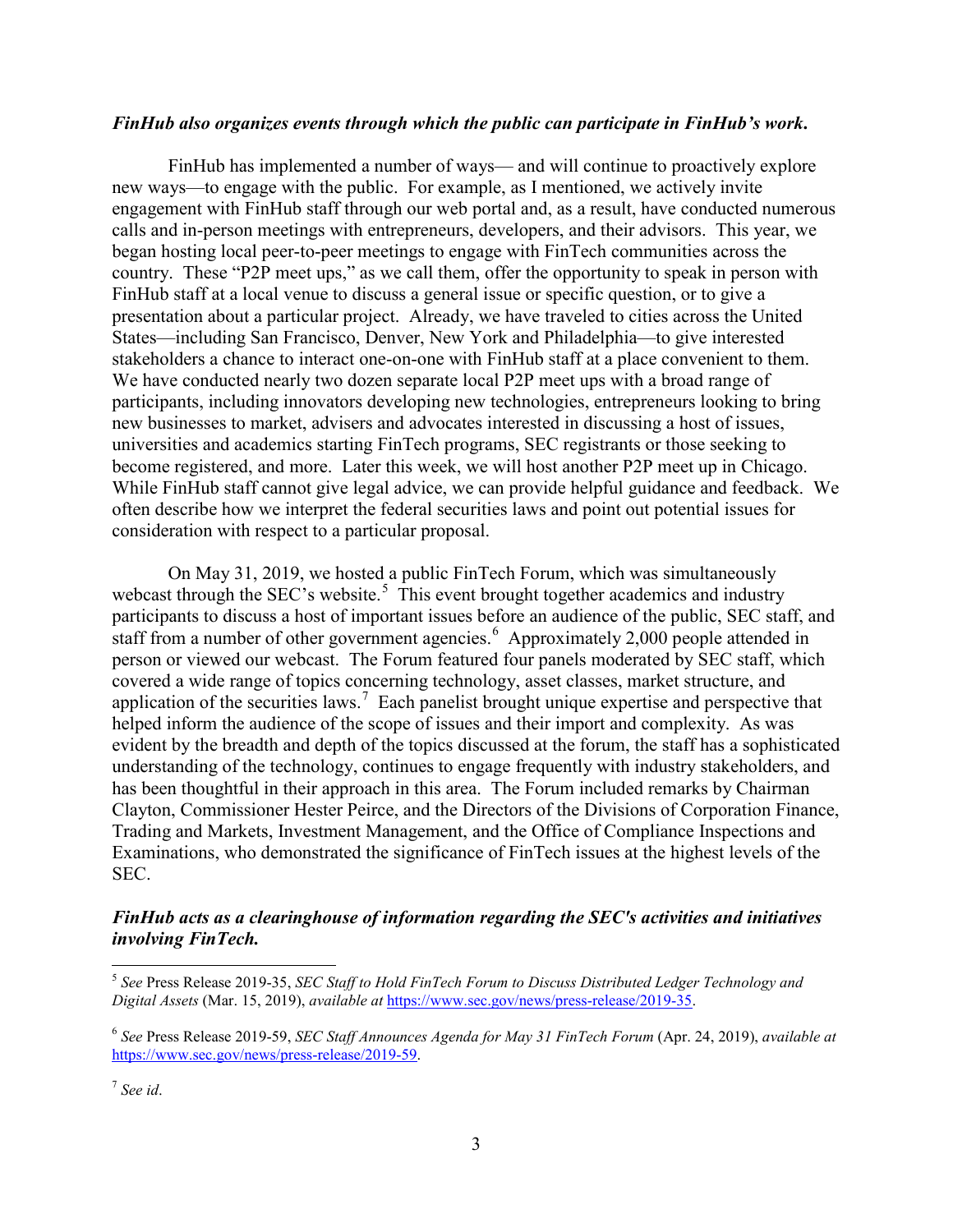#### *FinHub also organizes events through which the public can participate in FinHub's work***.**

FinHub has implemented a number of ways— and will continue to proactively explore new ways—to engage with the public. For example, as I mentioned, we actively invite engagement with FinHub staff through our web portal and, as a result, have conducted numerous calls and in-person meetings with entrepreneurs, developers, and their advisors. This year, we began hosting local peer-to-peer meetings to engage with FinTech communities across the country. These "P2P meet ups," as we call them, offer the opportunity to speak in person with FinHub staff at a local venue to discuss a general issue or specific question, or to give a presentation about a particular project. Already, we have traveled to cities across the United States—including San Francisco, Denver, New York and Philadelphia—to give interested stakeholders a chance to interact one-on-one with FinHub staff at a place convenient to them. We have conducted nearly two dozen separate local P2P meet ups with a broad range of participants, including innovators developing new technologies, entrepreneurs looking to bring new businesses to market, advisers and advocates interested in discussing a host of issues, universities and academics starting FinTech programs, SEC registrants or those seeking to become registered, and more. Later this week, we will host another P2P meet up in Chicago. While FinHub staff cannot give legal advice, we can provide helpful guidance and feedback. We often describe how we interpret the federal securities laws and point out potential issues for consideration with respect to a particular proposal.

On May 31, 2019, we hosted a public FinTech Forum, which was simultaneously webcast through the SEC's website.<sup>[5](#page-2-0)</sup> This event brought together academics and industry participants to discuss a host of important issues before an audience of the public, SEC staff, and staff from a number of other government agencies.<sup>[6](#page-2-1)</sup> Approximately 2,000 people attended in person or viewed our webcast. The Forum featured four panels moderated by SEC staff, which covered a wide range of topics concerning technology, asset classes, market structure, and application of the securities laws.<sup>[7](#page-2-2)</sup> Each panelist brought unique expertise and perspective that helped inform the audience of the scope of issues and their import and complexity. As was evident by the breadth and depth of the topics discussed at the forum, the staff has a sophisticated understanding of the technology, continues to engage frequently with industry stakeholders, and has been thoughtful in their approach in this area. The Forum included remarks by Chairman Clayton, Commissioner Hester Peirce, and the Directors of the Divisions of Corporation Finance, Trading and Markets, Investment Management, and the Office of Compliance Inspections and Examinations, who demonstrated the significance of FinTech issues at the highest levels of the SEC.

## *FinHub acts as a clearinghouse of information regarding the SEC's activities and initiatives involving FinTech.*

<span id="page-2-0"></span><sup>5</sup> *See* Press Release 2019-35, *SEC Staff to Hold FinTech Forum to Discuss Distributed Ledger Technology and Digital Assets* (Mar. 15, 2019), *available at* [https://www.sec.gov/news/press-release/2019-35.](https://www.sec.gov/news/press-release/2019-35)

<span id="page-2-1"></span><sup>6</sup> *See* Press Release 2019-59, *SEC Staff Announces Agenda for May 31 FinTech Forum* (Apr. 24, 2019), *available at* [https://www.sec.gov/news/press-release/2019-59.](https://www.sec.gov/news/press-release/2019-59)

<span id="page-2-2"></span><sup>7</sup> *See id*.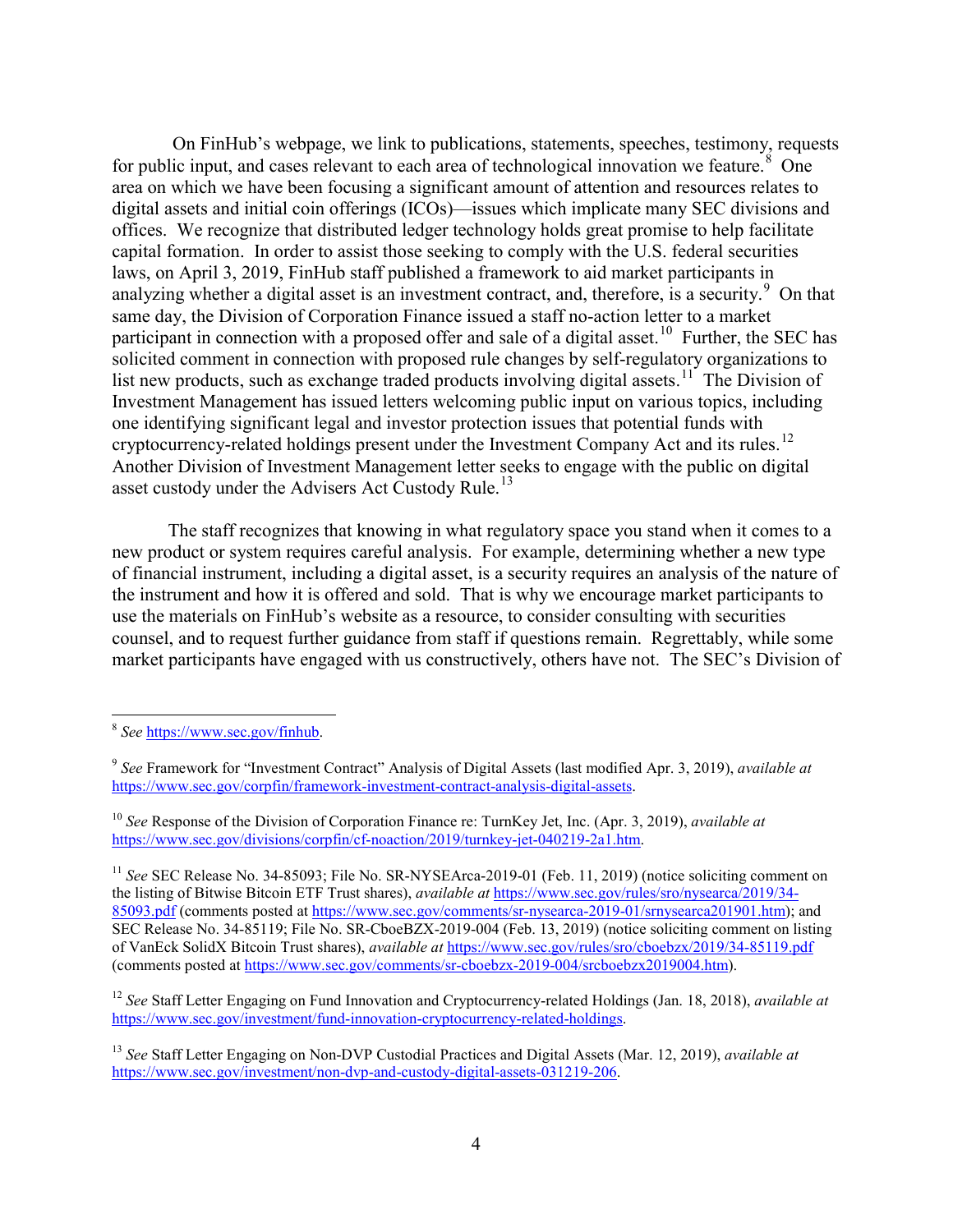On FinHub's webpage, we link to publications, statements, speeches, testimony, requests for public input, and cases relevant to each area of technological innovation we feature.<sup>[8](#page-3-0)</sup> One area on which we have been focusing a significant amount of attention and resources relates to digital assets and initial coin offerings (ICOs)—issues which implicate many SEC divisions and offices. We recognize that distributed ledger technology holds great promise to help facilitate capital formation. In order to assist those seeking to comply with the U.S. federal securities laws, on April 3, 2019, FinHub staff published a framework to aid market participants in analyzing whether a digital asset is an investment contract, and, therefore, is a security.<sup>[9](#page-3-1)</sup> On that same day, the Division of Corporation Finance issued a staff no-action letter to a market participant in connection with a proposed offer and sale of a digital asset.<sup>[10](#page-3-2)</sup> Further, the SEC has solicited comment in connection with proposed rule changes by self-regulatory organizations to list new products, such as exchange traded products involving digital assets.<sup>11</sup> The Division of Investment Management has issued letters welcoming public input on various topics, including one identifying significant legal and investor protection issues that potential funds with cryptocurrency-related holdings present under the Investment Company Act and its rules.<sup>[12](#page-3-4)</sup> Another Division of Investment Management letter seeks to engage with the public on digital asset custody under the Advisers Act Custody Rule.<sup>13</sup>

The staff recognizes that knowing in what regulatory space you stand when it comes to a new product or system requires careful analysis. For example, determining whether a new type of financial instrument, including a digital asset, is a security requires an analysis of the nature of the instrument and how it is offered and sold. That is why we encourage market participants to use the materials on FinHub's website as a resource, to consider consulting with securities counsel, and to request further guidance from staff if questions remain. Regrettably, while some market participants have engaged with us constructively, others have not. The SEC's Division of

<span id="page-3-4"></span><sup>12</sup> *See* Staff Letter Engaging on Fund Innovation and Cryptocurrency-related Holdings (Jan. 18, 2018), *available at* [https://www.sec.gov/investment/fund-innovation-cryptocurrency-related-holdings.](https://www.sec.gov/investment/fund-innovation-cryptocurrency-related-holdings)

<span id="page-3-0"></span><sup>&</sup>lt;sup>8</sup> *See* [https://www.sec.gov/finhub.](https://www.sec.gov/finhub)

<span id="page-3-1"></span><sup>9</sup> *See* Framework for "Investment Contract" Analysis of Digital Assets (last modified Apr. 3, 2019), *available at* [https://www.sec.gov/corpfin/framework-investment-contract-analysis-digital-assets.](https://www.sec.gov/corpfin/framework-investment-contract-analysis-digital-assets)

<span id="page-3-2"></span><sup>10</sup> *See* Response of the Division of Corporation Finance re: TurnKey Jet, Inc. (Apr. 3, 2019), *available at* [https://www.sec.gov/divisions/corpfin/cf-noaction/2019/turnkey-jet-040219-2a1.htm.](https://www.sec.gov/divisions/corpfin/cf-noaction/2019/turnkey-jet-040219-2a1.htm)

<span id="page-3-3"></span><sup>&</sup>lt;sup>11</sup> See SEC Release No. 34-85093; File No. SR-NYSEArca-2019-01 (Feb. 11, 2019) (notice soliciting comment on the listing of Bitwise Bitcoin ETF Trust shares), *available at* [https://www.sec.gov/rules/sro/nysearca/2019/34-](https://www.sec.gov/rules/sro/nysearca/2019/34-85093.pdf) [85093.pdf](https://www.sec.gov/rules/sro/nysearca/2019/34-85093.pdf) (comments posted a[t https://www.sec.gov/comments/sr-nysearca-2019-01/srnysearca201901.htm\)](https://www.sec.gov/comments/sr-nysearca-2019-01/srnysearca201901.htm); and SEC Release No. 34-85119; File No. SR-CboeBZX-2019-004 (Feb. 13, 2019) (notice soliciting comment on listing of VanEck SolidX Bitcoin Trust shares), *available at* <https://www.sec.gov/rules/sro/cboebzx/2019/34-85119.pdf> (comments posted at [https://www.sec.gov/comments/sr-cboebzx-2019-004/srcboebzx2019004.htm\)](https://www.sec.gov/comments/sr-cboebzx-2019-004/srcboebzx2019004.htm).

<span id="page-3-5"></span><sup>13</sup> *See* Staff Letter Engaging on Non-DVP Custodial Practices and Digital Assets (Mar. 12, 2019), *available at* [https://www.sec.gov/investment/non-dvp-and-custody-digital-assets-031219-206.](https://www.sec.gov/investment/non-dvp-and-custody-digital-assets-031219-206)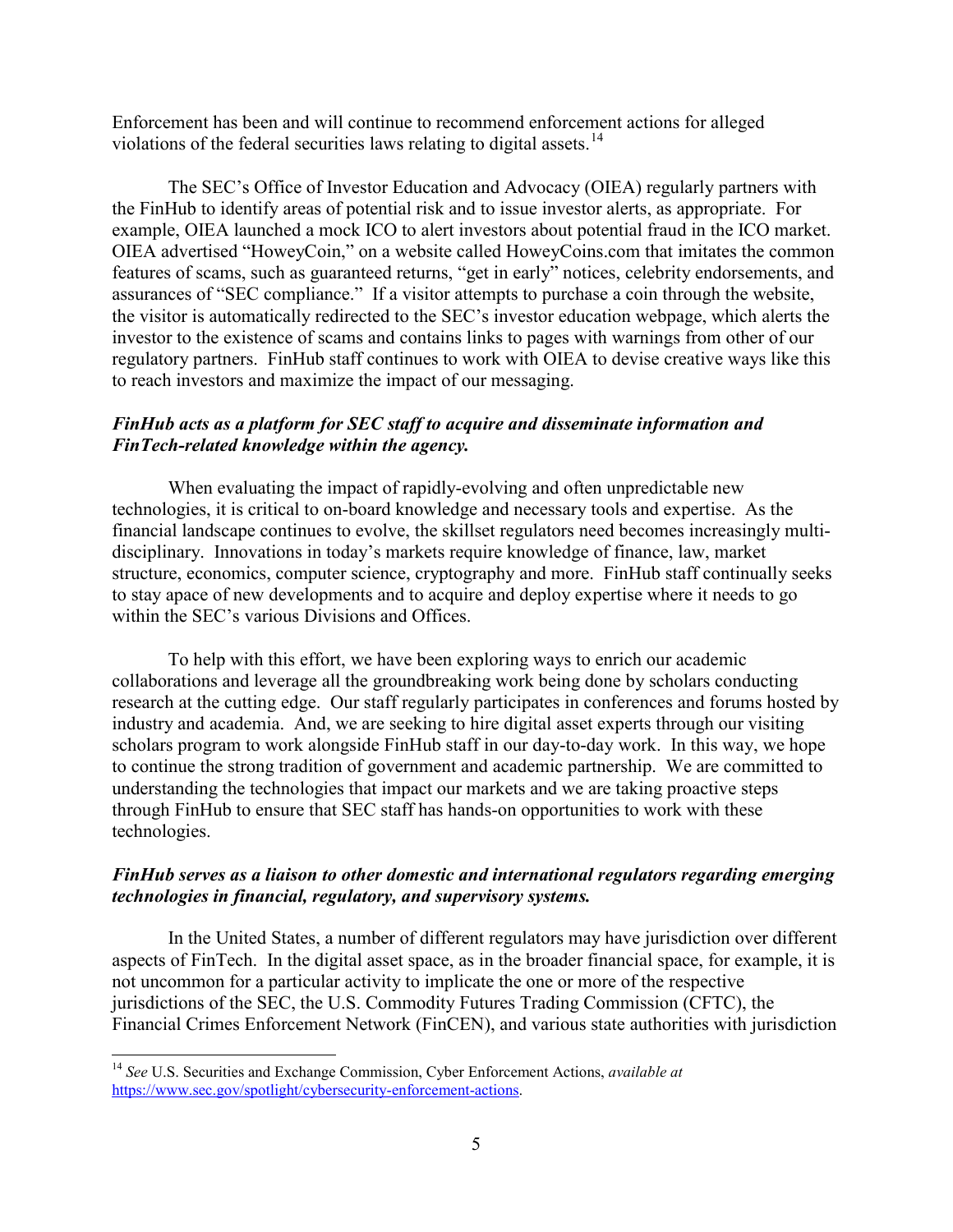Enforcement has been and will continue to recommend enforcement actions for alleged violations of the federal securities laws relating to digital assets.<sup>14</sup>

The SEC's Office of Investor Education and Advocacy (OIEA) regularly partners with the FinHub to identify areas of potential risk and to issue investor alerts, as appropriate. For example, OIEA launched a mock ICO to alert investors about potential fraud in the ICO market. OIEA advertised "HoweyCoin," on a website called HoweyCoins.com that imitates the common features of scams, such as guaranteed returns, "get in early" notices, celebrity endorsements, and assurances of "SEC compliance." If a visitor attempts to purchase a coin through the website, the visitor is automatically redirected to the SEC's investor education webpage, which alerts the investor to the existence of scams and contains links to pages with warnings from other of our regulatory partners. FinHub staff continues to work with OIEA to devise creative ways like this to reach investors and maximize the impact of our messaging.

# *FinHub acts as a platform for SEC staff to acquire and disseminate information and FinTech-related knowledge within the agency.*

When evaluating the impact of rapidly-evolving and often unpredictable new technologies, it is critical to on-board knowledge and necessary tools and expertise. As the financial landscape continues to evolve, the skillset regulators need becomes increasingly multidisciplinary. Innovations in today's markets require knowledge of finance, law, market structure, economics, computer science, cryptography and more. FinHub staff continually seeks to stay apace of new developments and to acquire and deploy expertise where it needs to go within the SEC's various Divisions and Offices.

To help with this effort, we have been exploring ways to enrich our academic collaborations and leverage all the groundbreaking work being done by scholars conducting research at the cutting edge. Our staff regularly participates in conferences and forums hosted by industry and academia. And, we are seeking to hire digital asset experts through our visiting scholars program to work alongside FinHub staff in our day-to-day work. In this way, we hope to continue the strong tradition of government and academic partnership. We are committed to understanding the technologies that impact our markets and we are taking proactive steps through FinHub to ensure that SEC staff has hands-on opportunities to work with these technologies.

## *FinHub serves as a liaison to other domestic and international regulators regarding emerging technologies in financial, regulatory, and supervisory systems.*

In the United States, a number of different regulators may have jurisdiction over different aspects of FinTech. In the digital asset space, as in the broader financial space, for example, it is not uncommon for a particular activity to implicate the one or more of the respective jurisdictions of the SEC, the U.S. Commodity Futures Trading Commission (CFTC), the Financial Crimes Enforcement Network (FinCEN), and various state authorities with jurisdiction

<span id="page-4-0"></span><sup>14</sup> *See* U.S. Securities and Exchange Commission, Cyber Enforcement Actions, *available at* [https://www.sec.gov/spotlight/cybersecurity-enforcement-actions.](https://www.sec.gov/spotlight/cybersecurity-enforcement-actions)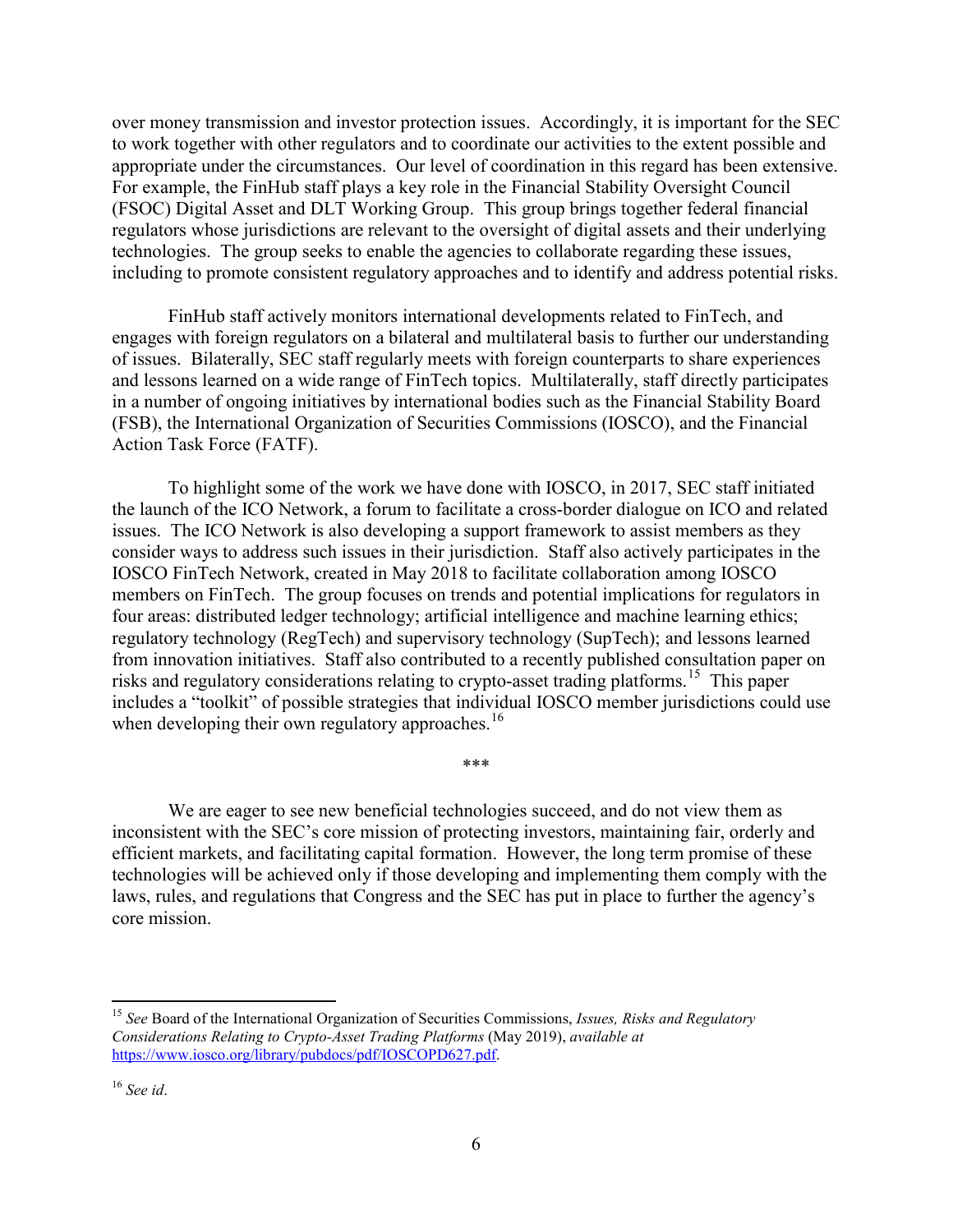over money transmission and investor protection issues. Accordingly, it is important for the SEC to work together with other regulators and to coordinate our activities to the extent possible and appropriate under the circumstances. Our level of coordination in this regard has been extensive. For example, the FinHub staff plays a key role in the Financial Stability Oversight Council (FSOC) Digital Asset and DLT Working Group. This group brings together federal financial regulators whose jurisdictions are relevant to the oversight of digital assets and their underlying technologies. The group seeks to enable the agencies to collaborate regarding these issues, including to promote consistent regulatory approaches and to identify and address potential risks.

FinHub staff actively monitors international developments related to FinTech, and engages with foreign regulators on a bilateral and multilateral basis to further our understanding of issues. Bilaterally, SEC staff regularly meets with foreign counterparts to share experiences and lessons learned on a wide range of FinTech topics. Multilaterally, staff directly participates in a number of ongoing initiatives by international bodies such as the Financial Stability Board (FSB), the International Organization of Securities Commissions (IOSCO), and the Financial Action Task Force (FATF).

To highlight some of the work we have done with IOSCO, in 2017, SEC staff initiated the launch of the ICO Network, a forum to facilitate a cross-border dialogue on ICO and related issues. The ICO Network is also developing a support framework to assist members as they consider ways to address such issues in their jurisdiction. Staff also actively participates in the IOSCO FinTech Network, created in May 2018 to facilitate collaboration among IOSCO members on FinTech. The group focuses on trends and potential implications for regulators in four areas: distributed ledger technology; artificial intelligence and machine learning ethics; regulatory technology (RegTech) and supervisory technology (SupTech); and lessons learned from innovation initiatives. Staff also contributed to a recently published consultation paper on risks and regulatory considerations relating to crypto-asset trading platforms. [15](#page-5-0) This paper includes a "toolkit" of possible strategies that individual IOSCO member jurisdictions could use when developing their own regulatory approaches.<sup>[16](#page-5-1)</sup>

We are eager to see new beneficial technologies succeed, and do not view them as inconsistent with the SEC's core mission of protecting investors, maintaining fair, orderly and efficient markets, and facilitating capital formation. However, the long term promise of these technologies will be achieved only if those developing and implementing them comply with the laws, rules, and regulations that Congress and the SEC has put in place to further the agency's core mission.

\*\*\*

<span id="page-5-0"></span><sup>15</sup> *See* Board of the International Organization of Securities Commissions, *Issues, Risks and Regulatory Considerations Relating to Crypto-Asset Trading Platforms* (May 2019), *available at* [https://www.iosco.org/library/pubdocs/pdf/IOSCOPD627.pdf.](https://www.iosco.org/library/pubdocs/pdf/IOSCOPD627.pdf)

<span id="page-5-1"></span><sup>16</sup> *See id*.